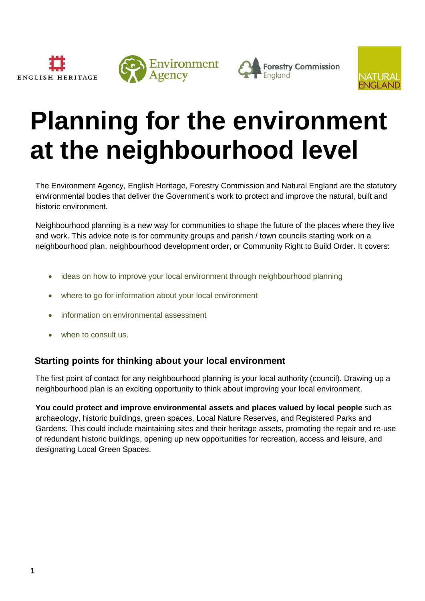





# **Planning for the environment at the neighbourhood level**

The Environment Agency, English Heritage, Forestry Commission and Natural England are the statutory environmental bodies that deliver the Government's work to protect and improve the natural, built and historic environment.

Neighbourhood planning is a new way for communities to shape the future of the places where they live and work. This advice note is for community groups and parish / town councils starting work on a neighbourhood plan, neighbourhood development order, or Community Right to Build Order. It covers:

- ideas on how to improve your local environment through neighbourhood planning
- where to go for information about your local environment
- information on environmental assessment
- when to consult us.

## **Starting points for thinking about your local environment**

The first point of contact for any neighbourhood planning is your local authority (council). Drawing up a neighbourhood plan is an exciting opportunity to think about improving your local environment.

**You could protect and improve environmental assets and places valued by local people** such as archaeology, historic buildings, green spaces, Local Nature Reserves, and Registered Parks and Gardens. This could include maintaining sites and their heritage assets, promoting the repair and re-use of redundant historic buildings, opening up new opportunities for recreation, access and leisure, and designating Local Green Spaces.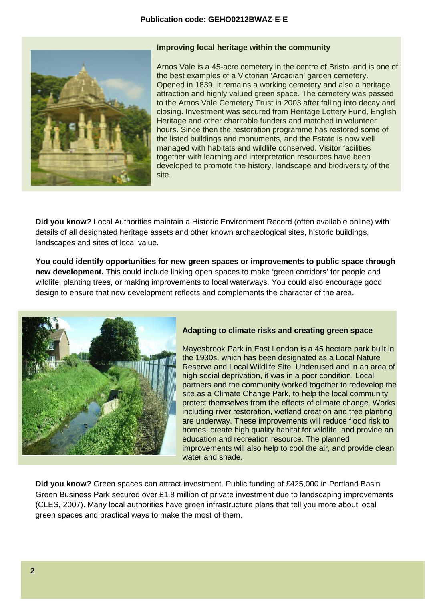#### **Publication code: GEHO0212BWAZ-E-E**



#### **Improving local heritage within the community**

Arnos Vale is a 45-acre cemetery in the centre of Bristol and is one of the best examples of a Victorian 'Arcadian' garden cemetery. Opened in 1839, it remains a working cemetery and also a heritage attraction and highly valued green space. The cemetery was passed to the Arnos Vale Cemetery Trust in 2003 after falling into decay and closing. Investment was secured from Heritage Lottery Fund, English Heritage and other charitable funders and matched in volunteer hours. Since then the restoration programme has restored some of the listed buildings and monuments, and the Estate is now well managed with habitats and wildlife conserved. Visitor facilities together with learning and interpretation resources have been developed to promote the history, landscape and biodiversity of the site.

**Did you know?** Local Authorities maintain a Historic Environment Record (often available online) with details of all designated heritage assets and other known archaeological sites, historic buildings, landscapes and sites of local value.

**You could identify opportunities for new green spaces or improvements to public space through new development.** This could include linking open spaces to make 'green corridors' for people and wildlife, planting trees, or making improvements to local waterways. You could also encourage good design to ensure that new development reflects and complements the character of the area.



#### **Adapting to climate risks and creating green space**

Mayesbrook Park in East London is a 45 hectare park built in the 1930s, which has been designated as a Local Nature Reserve and Local Wildlife Site. Underused and in an area of high social deprivation, it was in a poor condition. Local partners and the community worked together to redevelop the site as a Climate Change Park, to help the local community protect themselves from the effects of climate change. Works including river restoration, wetland creation and tree planting are underway. These improvements will reduce flood risk to homes, create high quality habitat for wildlife, and provide an education and recreation resource. The planned improvements will also help to cool the air, and provide clean water and shade.

**Did you know?** Green spaces can attract investment. Public funding of £425,000 in Portland Basin Green Business Park secured over £1.8 million of private investment due to landscaping improvements (CLES, 2007). Many local authorities have green infrastructure plans that tell you more about local green spaces and practical ways to make the most of them.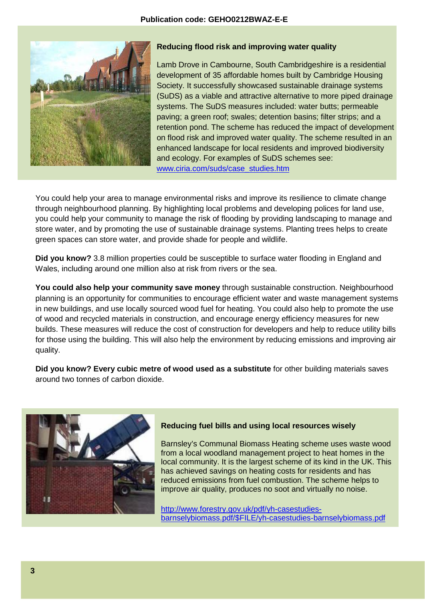#### **Publication code: GEHO0212BWAZ-E-E**



#### **Reducing flood risk and improving water quality**

Lamb Drove in Cambourne, South Cambridgeshire is a residential development of 35 affordable homes built by Cambridge Housing Society. It successfully showcased sustainable drainage systems (SuDS) as a viable and attractive alternative to more piped drainage systems. The SuDS measures included: water butts; permeable paving; a green roof; swales; detention basins; filter strips; and a retention pond. The scheme has reduced the impact of development on flood risk and improved water quality. The scheme resulted in an enhanced landscape for local residents and improved biodiversity and ecology. For examples of SuDS schemes see: [www.ciria.com/suds/case\\_studies.htm](http://www.ciria.com/suds/case_studies.htm)

You could help your area to manage environmental risks and improve its resilience to climate change through neighbourhood planning. By highlighting local problems and developing polices for land use, you could help your community to manage the risk of flooding by providing landscaping to manage and store water, and by promoting the use of sustainable drainage systems. Planting trees helps to create green spaces can store water, and provide shade for people and wildlife.

**Did you know?** 3.8 million properties could be susceptible to surface water flooding in England and Wales, including around one million also at risk from rivers or the sea.

**You could also help your community save money** through sustainable construction. Neighbourhood planning is an opportunity for communities to encourage efficient water and waste management systems in new buildings, and use locally sourced wood fuel for heating. You could also help to promote the use of wood and recycled materials in construction, and encourage energy efficiency measures for new builds. These measures will reduce the cost of construction for developers and help to reduce utility bills for those using the building. This will also help the environment by reducing emissions and improving air quality.

**Did you know? Every cubic metre of wood used as a substitute** for other building materials saves around two tonnes of carbon dioxide.



#### **Reducing fuel bills and using local resources wisely**

Barnsley's Communal Biomass Heating scheme uses waste wood from a local woodland management project to heat homes in the local community. It is the largest scheme of its kind in the UK. This has achieved savings on heating costs for residents and has reduced emissions from fuel combustion. The scheme helps to improve air quality, produces no soot and virtually no noise.

[http://www.forestry.gov.uk/pdf/yh-casestudies](http://www.forestry.gov.uk/pdf/yh-casestudies-barnselybiomass.pdf/$FILE/yh-casestudies-barnselybiomass.pdf)[barnselybiomass.pdf/\\$FILE/yh-casestudies-barnselybiomass.pdf](http://www.forestry.gov.uk/pdf/yh-casestudies-barnselybiomass.pdf/$FILE/yh-casestudies-barnselybiomass.pdf)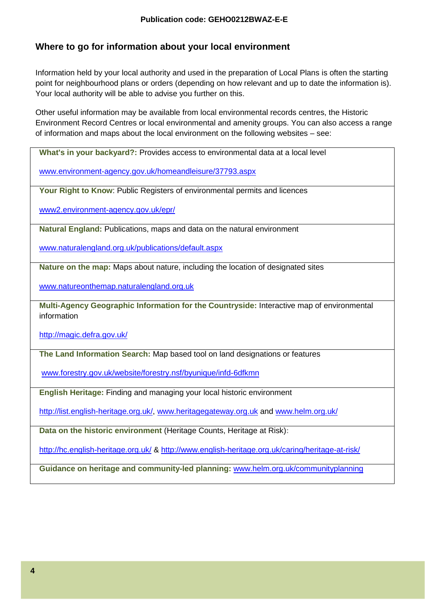## **Where to go for information about your local environment**

Information held by your local authority and used in the preparation of Local Plans is often the starting point for neighbourhood plans or orders (depending on how relevant and up to date the information is). Your local authority will be able to advise you further on this.

Other useful information may be available from local environmental records centres, the Historic Environment Record Centres or local environmental and amenity groups. You can also access a range of information and maps about the local environment on the following websites – see:

**What's in your backyard?:** Provides access to environmental data at a local level

[www.environment-agency.gov.uk/homeandleisure/37793.aspx](http://www.environment-agency.gov.uk/homeandleisure/37793.aspx)

**Your Right to Know**: Public Registers of environmental permits and licences

[www2.environment-agency.gov.uk/epr/](http://www2.environment-agency.gov.uk/epr/)

**Natural England:** Publications, maps and data on the natural environment

[www.naturalengland.org.uk/publications/default.aspx](http://www.naturalengland.org.uk/publications/default.aspx) 

**Nature on the map:** Maps about nature, including the location of designated sites

[www.natureonthemap.naturalengland.org.uk](http://www.natureonthemap.naturalengland.org.uk/)

**Multi-Agency Geographic Information for the Countryside:** Interactive map of environmental information

<http://magic.defra.gov.uk/>

**The Land Information Search:** Map based tool on land designations or features

[www.forestry.gov.uk/website/forestry.nsf/byunique/infd-6dfkmn](http://www.forestry.gov.uk/website/forestry.nsf/byunique/infd-6dfkmn) 

**English Heritage:** Finding and managing your local historic environment

[http://list.english-heritage.org.uk/,](http://list.english-heritage.org.uk/) [www.heritagegateway.org.uk](http://www.heritagegateway.org.uk/) and [www.helm.org.uk/](http://www.helm.org.uk/)

**Data on the historic environment** (Heritage Counts, Heritage at Risk)**:** 

<http://hc.english-heritage.org.uk/> &<http://www.english-heritage.org.uk/caring/heritage-at-risk/>

**Guidance on heritage and community-led planning:** [www.helm.org.uk/communityplanning](http://www.helm.org.uk/communityplanning)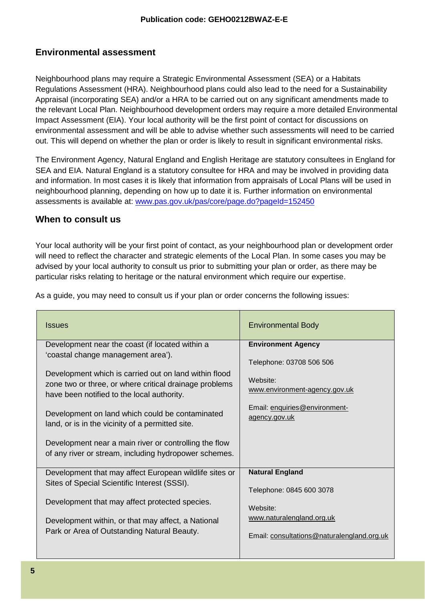## **Environmental assessment**

Neighbourhood plans may require a Strategic Environmental Assessment (SEA) or a Habitats Regulations Assessment (HRA). Neighbourhood plans could also lead to the need for a Sustainability Appraisal (incorporating SEA) and/or a HRA to be carried out on any significant amendments made to the relevant Local Plan. Neighbourhood development orders may require a more detailed Environmental Impact Assessment (EIA). Your local authority will be the first point of contact for discussions on environmental assessment and will be able to advise whether such assessments will need to be carried out. This will depend on whether the plan or order is likely to result in significant environmental risks.

The Environment Agency, Natural England and English Heritage are statutory consultees in England for SEA and EIA. Natural England is a statutory consultee for HRA and may be involved in providing data and information. In most cases it is likely that information from appraisals of Local Plans will be used in neighbourhood planning, depending on how up to date it is. Further information on environmental assessments is available at: [www.pas.gov.uk/pas/core/page.do?pageId=152450](http://www.pas.gov.uk/pas/core/page.do?pageId=152450)

### **When to consult us**

Your local authority will be your first point of contact, as your neighbourhood plan or development order will need to reflect the character and strategic elements of the Local Plan. In some cases you may be advised by your local authority to consult us prior to submitting your plan or order, as there may be particular risks relating to heritage or the natural environment which require our expertise.

|  |  | As a guide, you may need to consult us if your plan or order concerns the following issues: |
|--|--|---------------------------------------------------------------------------------------------|
|  |  |                                                                                             |

| <b>Issues</b>                                                                                                  | <b>Environmental Body</b>                      |
|----------------------------------------------------------------------------------------------------------------|------------------------------------------------|
| Development near the coast (if located within a                                                                | <b>Environment Agency</b>                      |
| 'coastal change management area').                                                                             | Telephone: 03708 506 506                       |
| Development which is carried out on land within flood                                                          | Website:                                       |
| zone two or three, or where critical drainage problems<br>have been notified to the local authority.           | www.environment-agency.gov.uk                  |
| Development on land which could be contaminated<br>land, or is in the vicinity of a permitted site.            | Email: enquiries@environment-<br>agency.gov.uk |
| Development near a main river or controlling the flow<br>of any river or stream, including hydropower schemes. |                                                |
| Development that may affect European wildlife sites or                                                         | <b>Natural England</b>                         |
| Sites of Special Scientific Interest (SSSI).                                                                   | Telephone: 0845 600 3078                       |
| Development that may affect protected species.                                                                 | Website:                                       |
| Development within, or that may affect, a National                                                             | www.naturalengland.org.uk                      |
| Park or Area of Outstanding Natural Beauty.                                                                    | Email: consultations@naturalengland.org.uk     |
|                                                                                                                |                                                |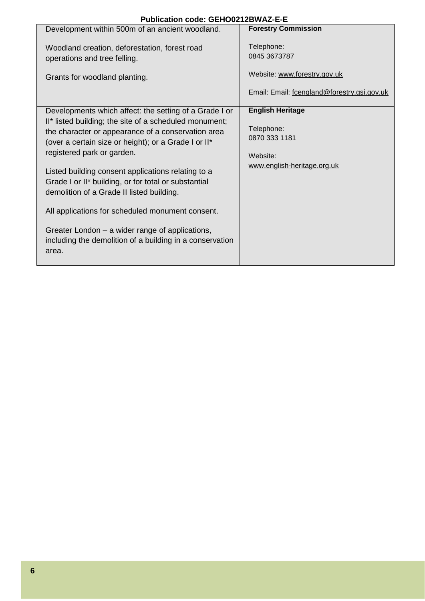| Publication code: GEHO0212BWAZ-E-E |  |
|------------------------------------|--|
|------------------------------------|--|

| Publication code: GEHOUZ1ZBWAZ-E-E                                                                                                                                                                                                                                                                                                                                                                                                                                                                                                                                                                  |                                                                                                           |
|-----------------------------------------------------------------------------------------------------------------------------------------------------------------------------------------------------------------------------------------------------------------------------------------------------------------------------------------------------------------------------------------------------------------------------------------------------------------------------------------------------------------------------------------------------------------------------------------------------|-----------------------------------------------------------------------------------------------------------|
| Development within 500m of an ancient woodland.                                                                                                                                                                                                                                                                                                                                                                                                                                                                                                                                                     | <b>Forestry Commission</b>                                                                                |
| Woodland creation, deforestation, forest road<br>operations and tree felling.<br>Grants for woodland planting.                                                                                                                                                                                                                                                                                                                                                                                                                                                                                      | Telephone:<br>0845 3673787<br>Website: www.forestry.gov.uk<br>Email: Email: fcengland@forestry.gsi.gov.uk |
| Developments which affect: the setting of a Grade I or<br>II* listed building; the site of a scheduled monument;<br>the character or appearance of a conservation area<br>(over a certain size or height); or a Grade I or II*<br>registered park or garden.<br>Listed building consent applications relating to a<br>Grade I or II* building, or for total or substantial<br>demolition of a Grade II listed building.<br>All applications for scheduled monument consent.<br>Greater London - a wider range of applications,<br>including the demolition of a building in a conservation<br>area. | <b>English Heritage</b><br>Telephone:<br>0870 333 1181<br>Website:<br>www.english-heritage.org.uk         |